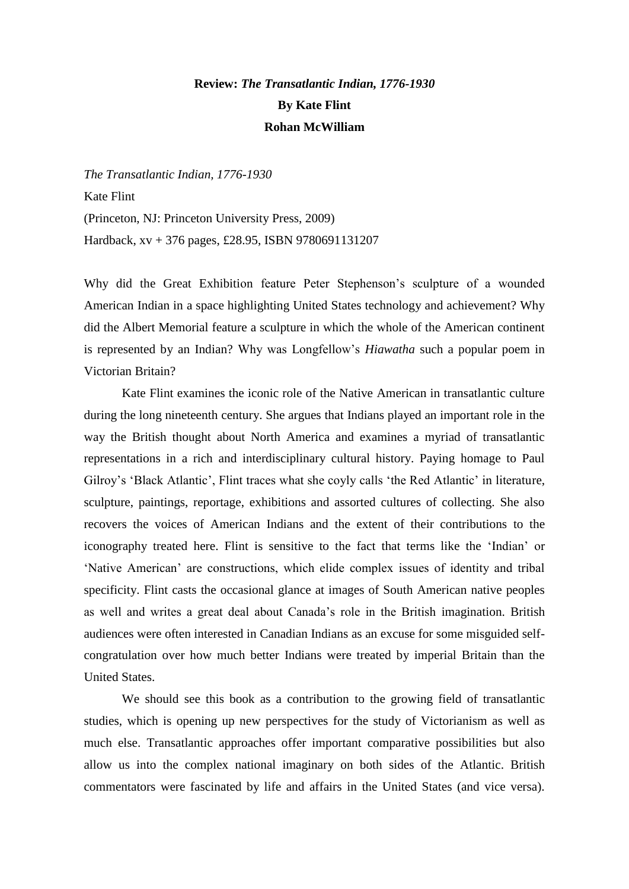## **Review:** *The Transatlantic Indian, 1776-1930* **By Kate Flint Rohan McWilliam**

*The Transatlantic Indian, 1776-1930* Kate Flint (Princeton, NJ: Princeton University Press, 2009) Hardback, xv + 376 pages, £28.95, ISBN 9780691131207

Why did the Great Exhibition feature Peter Stephenson's sculpture of a wounded American Indian in a space highlighting United States technology and achievement? Why did the Albert Memorial feature a sculpture in which the whole of the American continent is represented by an Indian? Why was Longfellow's *Hiawatha* such a popular poem in Victorian Britain?

Kate Flint examines the iconic role of the Native American in transatlantic culture during the long nineteenth century. She argues that Indians played an important role in the way the British thought about North America and examines a myriad of transatlantic representations in a rich and interdisciplinary cultural history. Paying homage to Paul Gilroy's 'Black Atlantic', Flint traces what she coyly calls 'the Red Atlantic' in literature, sculpture, paintings, reportage, exhibitions and assorted cultures of collecting. She also recovers the voices of American Indians and the extent of their contributions to the iconography treated here. Flint is sensitive to the fact that terms like the 'Indian' or 'Native American' are constructions, which elide complex issues of identity and tribal specificity. Flint casts the occasional glance at images of South American native peoples as well and writes a great deal about Canada's role in the British imagination. British audiences were often interested in Canadian Indians as an excuse for some misguided selfcongratulation over how much better Indians were treated by imperial Britain than the United States.

We should see this book as a contribution to the growing field of transatlantic studies, which is opening up new perspectives for the study of Victorianism as well as much else. Transatlantic approaches offer important comparative possibilities but also allow us into the complex national imaginary on both sides of the Atlantic. British commentators were fascinated by life and affairs in the United States (and vice versa).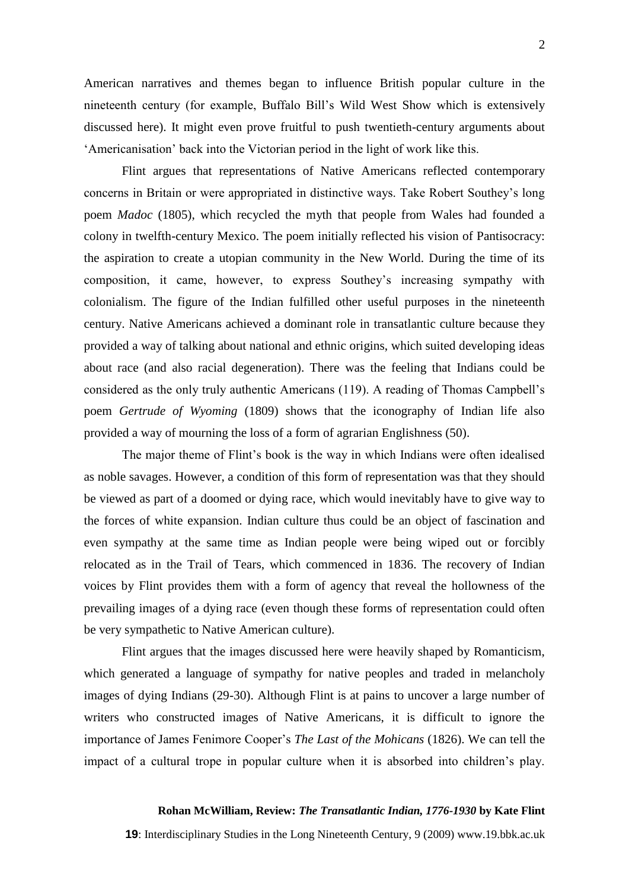American narratives and themes began to influence British popular culture in the nineteenth century (for example, Buffalo Bill's Wild West Show which is extensively discussed here). It might even prove fruitful to push twentieth-century arguments about 'Americanisation' back into the Victorian period in the light of work like this.

Flint argues that representations of Native Americans reflected contemporary concerns in Britain or were appropriated in distinctive ways. Take Robert Southey's long poem *Madoc* (1805), which recycled the myth that people from Wales had founded a colony in twelfth-century Mexico. The poem initially reflected his vision of Pantisocracy: the aspiration to create a utopian community in the New World. During the time of its composition, it came, however, to express Southey's increasing sympathy with colonialism. The figure of the Indian fulfilled other useful purposes in the nineteenth century. Native Americans achieved a dominant role in transatlantic culture because they provided a way of talking about national and ethnic origins, which suited developing ideas about race (and also racial degeneration). There was the feeling that Indians could be considered as the only truly authentic Americans (119). A reading of Thomas Campbell's poem *Gertrude of Wyoming* (1809) shows that the iconography of Indian life also provided a way of mourning the loss of a form of agrarian Englishness (50).

The major theme of Flint's book is the way in which Indians were often idealised as noble savages. However, a condition of this form of representation was that they should be viewed as part of a doomed or dying race, which would inevitably have to give way to the forces of white expansion. Indian culture thus could be an object of fascination and even sympathy at the same time as Indian people were being wiped out or forcibly relocated as in the Trail of Tears, which commenced in 1836. The recovery of Indian voices by Flint provides them with a form of agency that reveal the hollowness of the prevailing images of a dying race (even though these forms of representation could often be very sympathetic to Native American culture).

Flint argues that the images discussed here were heavily shaped by Romanticism, which generated a language of sympathy for native peoples and traded in melancholy images of dying Indians (29-30). Although Flint is at pains to uncover a large number of writers who constructed images of Native Americans, it is difficult to ignore the importance of James Fenimore Cooper's *The Last of the Mohicans* (1826). We can tell the impact of a cultural trope in popular culture when it is absorbed into children's play.

## **Rohan McWilliam, Review:** *The Transatlantic Indian, 1776-1930* **by Kate Flint**

**19**: Interdisciplinary Studies in the Long Nineteenth Century, 9 (2009) www.19.bbk.ac.uk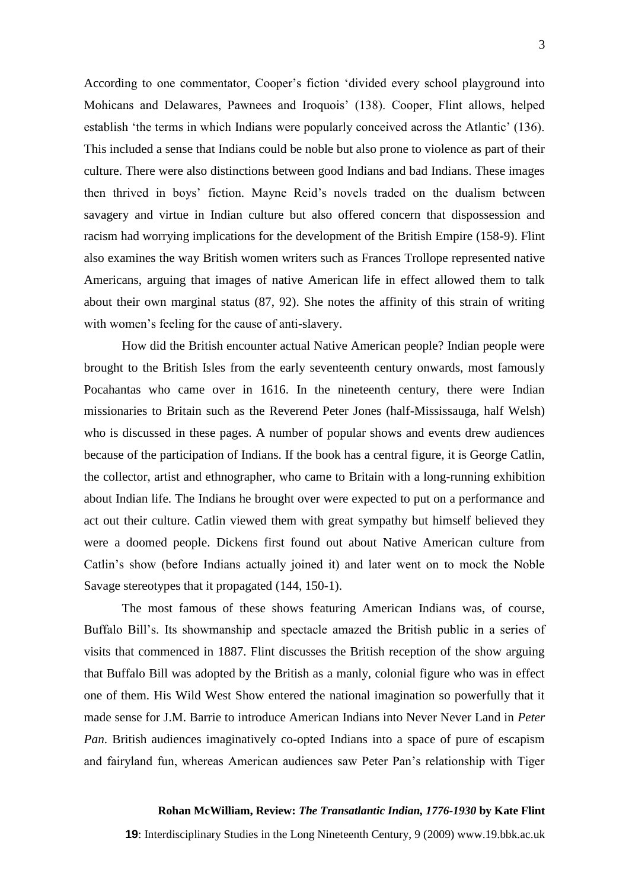According to one commentator, Cooper's fiction 'divided every school playground into Mohicans and Delawares, Pawnees and Iroquois' (138). Cooper, Flint allows, helped establish 'the terms in which Indians were popularly conceived across the Atlantic' (136). This included a sense that Indians could be noble but also prone to violence as part of their culture. There were also distinctions between good Indians and bad Indians. These images then thrived in boys' fiction. Mayne Reid's novels traded on the dualism between savagery and virtue in Indian culture but also offered concern that dispossession and racism had worrying implications for the development of the British Empire (158-9). Flint also examines the way British women writers such as Frances Trollope represented native Americans, arguing that images of native American life in effect allowed them to talk about their own marginal status (87, 92). She notes the affinity of this strain of writing with women's feeling for the cause of anti-slavery.

How did the British encounter actual Native American people? Indian people were brought to the British Isles from the early seventeenth century onwards, most famously Pocahantas who came over in 1616. In the nineteenth century, there were Indian missionaries to Britain such as the Reverend Peter Jones (half-Mississauga, half Welsh) who is discussed in these pages. A number of popular shows and events drew audiences because of the participation of Indians. If the book has a central figure, it is George Catlin, the collector, artist and ethnographer, who came to Britain with a long-running exhibition about Indian life. The Indians he brought over were expected to put on a performance and act out their culture. Catlin viewed them with great sympathy but himself believed they were a doomed people. Dickens first found out about Native American culture from Catlin's show (before Indians actually joined it) and later went on to mock the Noble Savage stereotypes that it propagated (144, 150-1).

The most famous of these shows featuring American Indians was, of course, Buffalo Bill's. Its showmanship and spectacle amazed the British public in a series of visits that commenced in 1887. Flint discusses the British reception of the show arguing that Buffalo Bill was adopted by the British as a manly, colonial figure who was in effect one of them. His Wild West Show entered the national imagination so powerfully that it made sense for J.M. Barrie to introduce American Indians into Never Never Land in *Peter Pan*. British audiences imaginatively co-opted Indians into a space of pure of escapism and fairyland fun, whereas American audiences saw Peter Pan's relationship with Tiger

## **Rohan McWilliam, Review:** *The Transatlantic Indian, 1776-1930* **by Kate Flint**

**19**: Interdisciplinary Studies in the Long Nineteenth Century, 9 (2009) www.19.bbk.ac.uk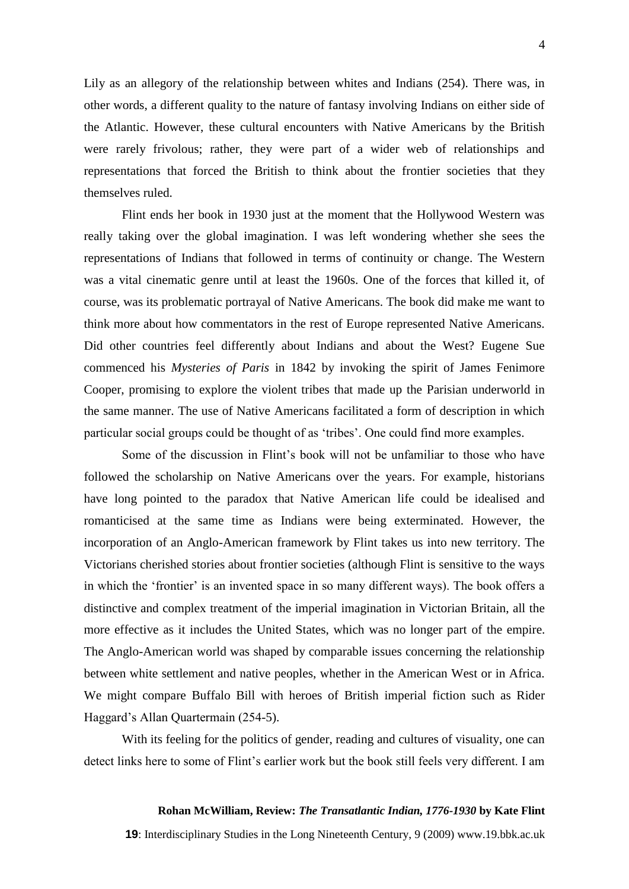Lily as an allegory of the relationship between whites and Indians (254). There was, in other words, a different quality to the nature of fantasy involving Indians on either side of the Atlantic. However, these cultural encounters with Native Americans by the British were rarely frivolous; rather, they were part of a wider web of relationships and representations that forced the British to think about the frontier societies that they themselves ruled.

Flint ends her book in 1930 just at the moment that the Hollywood Western was really taking over the global imagination. I was left wondering whether she sees the representations of Indians that followed in terms of continuity or change. The Western was a vital cinematic genre until at least the 1960s. One of the forces that killed it, of course, was its problematic portrayal of Native Americans. The book did make me want to think more about how commentators in the rest of Europe represented Native Americans. Did other countries feel differently about Indians and about the West? Eugene Sue commenced his *Mysteries of Paris* in 1842 by invoking the spirit of James Fenimore Cooper, promising to explore the violent tribes that made up the Parisian underworld in the same manner. The use of Native Americans facilitated a form of description in which particular social groups could be thought of as 'tribes'. One could find more examples.

Some of the discussion in Flint's book will not be unfamiliar to those who have followed the scholarship on Native Americans over the years. For example, historians have long pointed to the paradox that Native American life could be idealised and romanticised at the same time as Indians were being exterminated. However, the incorporation of an Anglo-American framework by Flint takes us into new territory. The Victorians cherished stories about frontier societies (although Flint is sensitive to the ways in which the 'frontier' is an invented space in so many different ways). The book offers a distinctive and complex treatment of the imperial imagination in Victorian Britain, all the more effective as it includes the United States, which was no longer part of the empire. The Anglo-American world was shaped by comparable issues concerning the relationship between white settlement and native peoples, whether in the American West or in Africa. We might compare Buffalo Bill with heroes of British imperial fiction such as Rider Haggard's Allan Quartermain (254-5).

With its feeling for the politics of gender, reading and cultures of visuality, one can detect links here to some of Flint's earlier work but the book still feels very different. I am

## **Rohan McWilliam, Review:** *The Transatlantic Indian, 1776-1930* **by Kate Flint**

**19**: Interdisciplinary Studies in the Long Nineteenth Century, 9 (2009) www.19.bbk.ac.uk